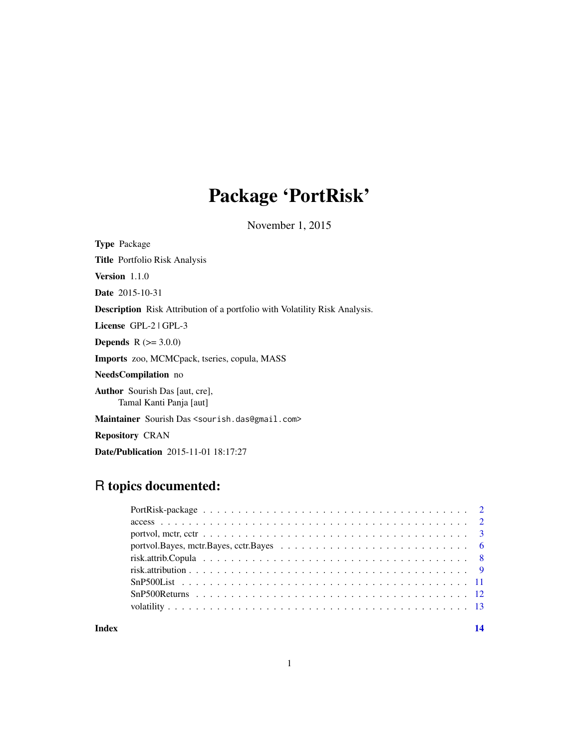## Package 'PortRisk'

November 1, 2015

<span id="page-0-0"></span>Type Package

Title Portfolio Risk Analysis

Version 1.1.0

Date 2015-10-31

Description Risk Attribution of a portfolio with Volatility Risk Analysis.

License GPL-2 | GPL-3

**Depends**  $R (= 3.0.0)$ 

Imports zoo, MCMCpack, tseries, copula, MASS

NeedsCompilation no

Author Sourish Das [aut, cre], Tamal Kanti Panja [aut]

Maintainer Sourish Das <sourish.das@gmail.com>

Repository CRAN

Date/Publication 2015-11-01 18:17:27

## R topics documented:

| portvol. Bayes, mctr. Bayes, cctr. Bayes $\ldots \ldots \ldots \ldots \ldots \ldots \ldots \ldots \ldots \ldots \ldots$ |  |
|-------------------------------------------------------------------------------------------------------------------------|--|
|                                                                                                                         |  |
|                                                                                                                         |  |
|                                                                                                                         |  |
|                                                                                                                         |  |
|                                                                                                                         |  |
|                                                                                                                         |  |

#### **Index** 2008 **[14](#page-13-0)**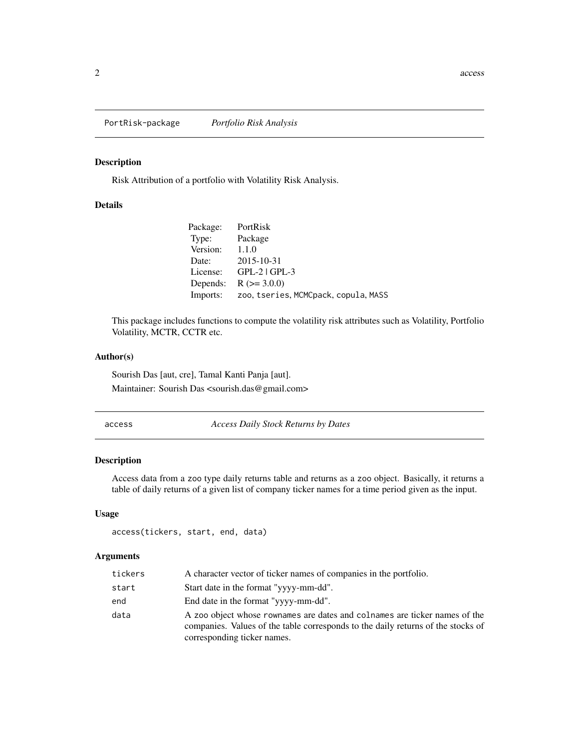<span id="page-1-0"></span>PortRisk-package *Portfolio Risk Analysis*

## Description

Risk Attribution of a portfolio with Volatility Risk Analysis.

#### Details

| Package: | PortRisk                             |
|----------|--------------------------------------|
| Type:    | Package                              |
| Version: | 1.1.0                                |
| Date:    | 2015-10-31                           |
| License: | $GPL-2$   $GPL-3$                    |
| Depends: | $R (= 3.0.0)$                        |
| Imports: | zoo, tseries, MCMCpack, copula, MASS |

This package includes functions to compute the volatility risk attributes such as Volatility, Portfolio Volatility, MCTR, CCTR etc.

#### Author(s)

Sourish Das [aut, cre], Tamal Kanti Panja [aut]. Maintainer: Sourish Das <sourish.das@gmail.com>

<span id="page-1-1"></span>access *Access Daily Stock Returns by Dates*

## Description

Access data from a zoo type daily returns table and returns as a zoo object. Basically, it returns a table of daily returns of a given list of company ticker names for a time period given as the input.

## Usage

```
access(tickers, start, end, data)
```
## Arguments

| tickers | A character vector of ticker names of companies in the portfolio.                                                                                                                             |
|---------|-----------------------------------------------------------------------------------------------------------------------------------------------------------------------------------------------|
| start   | Start date in the format "yyyy-mm-dd".                                                                                                                                                        |
| end     | End date in the format "yyyy-mm-dd".                                                                                                                                                          |
| data    | A zoo object whose rownames are dates and colnames are ticker names of the<br>companies. Values of the table corresponds to the daily returns of the stocks of<br>corresponding ticker names. |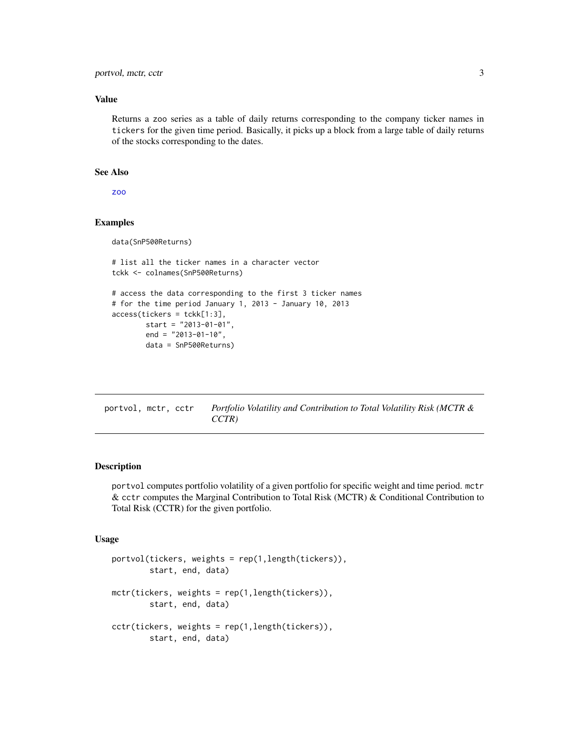<span id="page-2-0"></span>portvol, mctr, cctr 3

#### Value

Returns a zoo series as a table of daily returns corresponding to the company ticker names in tickers for the given time period. Basically, it picks up a block from a large table of daily returns of the stocks corresponding to the dates.

#### See Also

[zoo](#page-0-0)

## Examples

data(SnP500Returns)

```
# list all the ticker names in a character vector
tckk <- colnames(SnP500Returns)
# access the data corresponding to the first 3 ticker names
# for the time period January 1, 2013 - January 10, 2013
access(tickers = tckk[1:3],
       start = "2013-01-01",
        end = "2013-01-10",
```

```
data = SnP500Returns)
```
portvol, mctr, cctr *Portfolio Volatility and Contribution to Total Volatility Risk (MCTR & CCTR)*

#### <span id="page-2-1"></span>Description

portvol computes portfolio volatility of a given portfolio for specific weight and time period. mctr & cctr computes the Marginal Contribution to Total Risk (MCTR) & Conditional Contribution to Total Risk (CCTR) for the given portfolio.

## Usage

```
portvol(tickers, weights = rep(1,length(tickers)),
       start, end, data)
mctr(tickers, weights = rep(1,length(tickers)),
       start, end, data)
cctr(tickers, weights = rep(1,length(tickers)),
       start, end, data)
```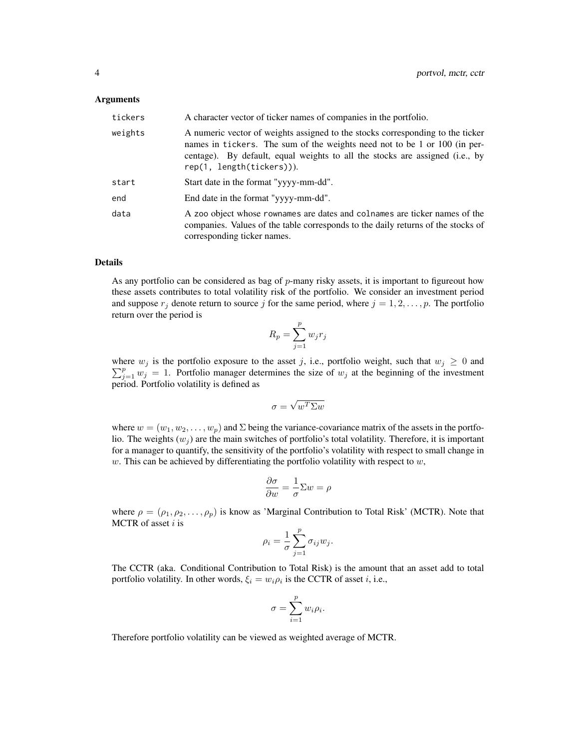#### Arguments

| tickers | A character vector of ticker names of companies in the portfolio.                                                                                                                                                                                                        |
|---------|--------------------------------------------------------------------------------------------------------------------------------------------------------------------------------------------------------------------------------------------------------------------------|
| weights | A numeric vector of weights assigned to the stocks corresponding to the ticker<br>names in tickers. The sum of the weights need not to be 1 or 100 (in per-<br>centage). By default, equal weights to all the stocks are assigned (i.e., by<br>rep(1, length(tickers))). |
| start   | Start date in the format "yyyy-mm-dd".                                                                                                                                                                                                                                   |
| end     | End date in the format "yyyy-mm-dd".                                                                                                                                                                                                                                     |
| data    | A zoo object whose rownames are dates and colnames are ticker names of the<br>companies. Values of the table corresponds to the daily returns of the stocks of<br>corresponding ticker names.                                                                            |

#### Details

As any portfolio can be considered as bag of p-many risky assets, it is important to figureout how these assets contributes to total volatility risk of the portfolio. We consider an investment period and suppose  $r_j$  denote return to source j for the same period, where  $j = 1, 2, \ldots, p$ . The portfolio return over the period is

$$
R_p = \sum_{j=1}^p w_j r_j
$$

where  $w_j$  is the portfolio exposure to the asset j, i.e., portfolio weight, such that  $w_j \geq 0$  and  $\sum_{j=1}^{p} w_j = 1$ . Portfolio manager determines the size of  $w_j$  at the beginning of the investment period. Portfolio volatility is defined as

$$
\sigma = \sqrt{w^T \Sigma w}
$$

where  $w = (w_1, w_2, \dots, w_p)$  and  $\Sigma$  being the variance-covariance matrix of the assets in the portfolio. The weights  $(w_j)$  are the main switches of portfolio's total volatility. Therefore, it is important for a manager to quantify, the sensitivity of the portfolio's volatility with respect to small change in  $w$ . This can be achieved by differentiating the portfolio volatility with respect to  $w$ ,

$$
\frac{\partial \sigma}{\partial w} = \frac{1}{\sigma} \Sigma w = \rho
$$

where  $\rho = (\rho_1, \rho_2, \dots, \rho_p)$  is know as 'Marginal Contribution to Total Risk' (MCTR). Note that MCTR of asset  $i$  is

$$
\rho_i = \frac{1}{\sigma} \sum_{j=1}^p \sigma_{ij} w_j.
$$

The CCTR (aka. Conditional Contribution to Total Risk) is the amount that an asset add to total portfolio volatility. In other words,  $\xi_i = w_i \rho_i$  is the CCTR of asset *i*, i.e.,

$$
\sigma = \sum_{i=1}^p w_i \rho_i.
$$

Therefore portfolio volatility can be viewed as weighted average of MCTR.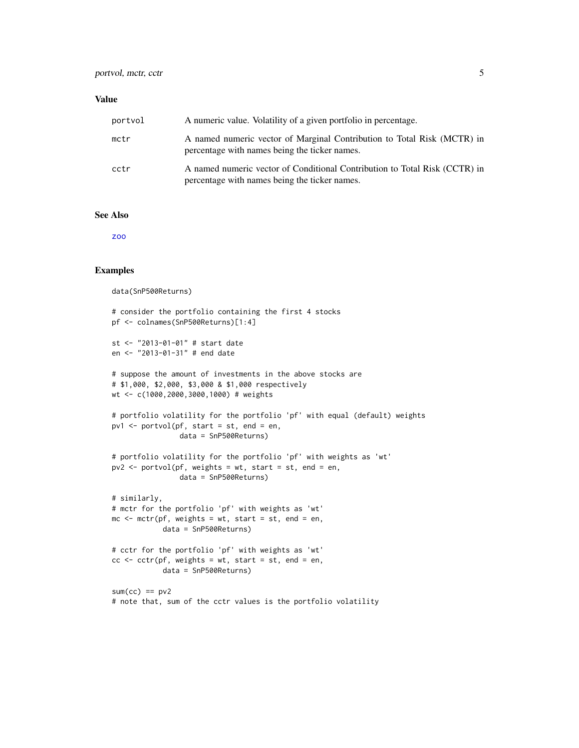#### <span id="page-4-0"></span>Value

| portvol | A numeric value. Volatility of a given portfolio in percentage.                                                             |
|---------|-----------------------------------------------------------------------------------------------------------------------------|
| mctr    | A named numeric vector of Marginal Contribution to Total Risk (MCTR) in<br>percentage with names being the ticker names.    |
| cctr    | A named numeric vector of Conditional Contribution to Total Risk (CCTR) in<br>percentage with names being the ticker names. |

## See Also

[zoo](#page-0-0)

## Examples

data(SnP500Returns)

```
# consider the portfolio containing the first 4 stocks
pf <- colnames(SnP500Returns)[1:4]
st <- "2013-01-01" # start date
en <- "2013-01-31" # end date
# suppose the amount of investments in the above stocks are
# $1,000, $2,000, $3,000 & $1,000 respectively
wt <- c(1000,2000,3000,1000) # weights
# portfolio volatility for the portfolio 'pf' with equal (default) weights
pv1 <- portvol(pf, start = st, end = en,
                data = SnP500Returns)
# portfolio volatility for the portfolio 'pf' with weights as 'wt'
pv2 <- portvol(pf, weights = wt, start = st, end = en,
                data = SnP500Returns)
# similarly,
# mctr for the portfolio 'pf' with weights as 'wt'
mc \le mctr(pf, weights = wt, start = st, end = en,data = SnP500Returns)
# cctr for the portfolio 'pf' with weights as 'wt'
cc < -cctr(pf, weights = wt, start = st, end = en,data = SnP500Returns)
sum(cc) == pv2# note that, sum of the cctr values is the portfolio volatility
```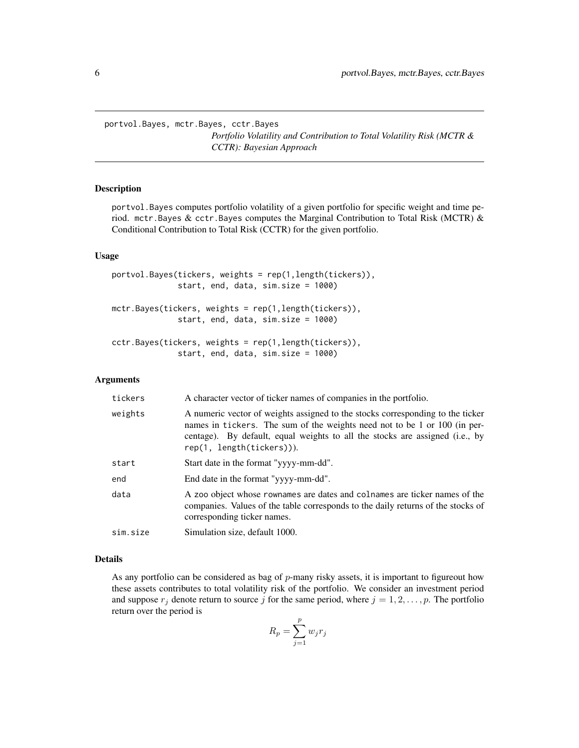<span id="page-5-0"></span>portvol.Bayes, mctr.Bayes, cctr.Bayes *Portfolio Volatility and Contribution to Total Volatility Risk (MCTR & CCTR): Bayesian Approach*

#### Description

portvol.Bayes computes portfolio volatility of a given portfolio for specific weight and time period. mctr. Bayes & cctr. Bayes computes the Marginal Contribution to Total Risk (MCTR)  $\&$ Conditional Contribution to Total Risk (CCTR) for the given portfolio.

#### Usage

```
portvol.Bayes(tickers, weights = rep(1,length(tickers)),
              start, end, data, sim.size = 1000)
mctr.Bayes(tickers, weights = rep(1,length(tickers)),
              start, end, data, sim.size = 1000)
cctr.Bayes(tickers, weights = rep(1,length(tickers)),
              start, end, data, sim.size = 1000)
```
#### Arguments

| tickers  | A character vector of ticker names of companies in the portfolio.                                                                                                                                                                                                        |
|----------|--------------------------------------------------------------------------------------------------------------------------------------------------------------------------------------------------------------------------------------------------------------------------|
| weights  | A numeric vector of weights assigned to the stocks corresponding to the ticker<br>names in tickers. The sum of the weights need not to be 1 or 100 (in per-<br>centage). By default, equal weights to all the stocks are assigned (i.e., by<br>rep(1, length(tickers))). |
| start    | Start date in the format "yyyy-mm-dd".                                                                                                                                                                                                                                   |
| end      | End date in the format "yyyy-mm-dd".                                                                                                                                                                                                                                     |
| data     | A zoo object whose rownames are dates and colnames are ticker names of the<br>companies. Values of the table corresponds to the daily returns of the stocks of<br>corresponding ticker names.                                                                            |
| sim.size | Simulation size, default 1000.                                                                                                                                                                                                                                           |

#### Details

As any portfolio can be considered as bag of  $p$ -many risky assets, it is important to figureout how these assets contributes to total volatility risk of the portfolio. We consider an investment period and suppose  $r_j$  denote return to source j for the same period, where  $j = 1, 2, \ldots, p$ . The portfolio return over the period is

$$
R_p = \sum_{j=1}^p w_j r_j
$$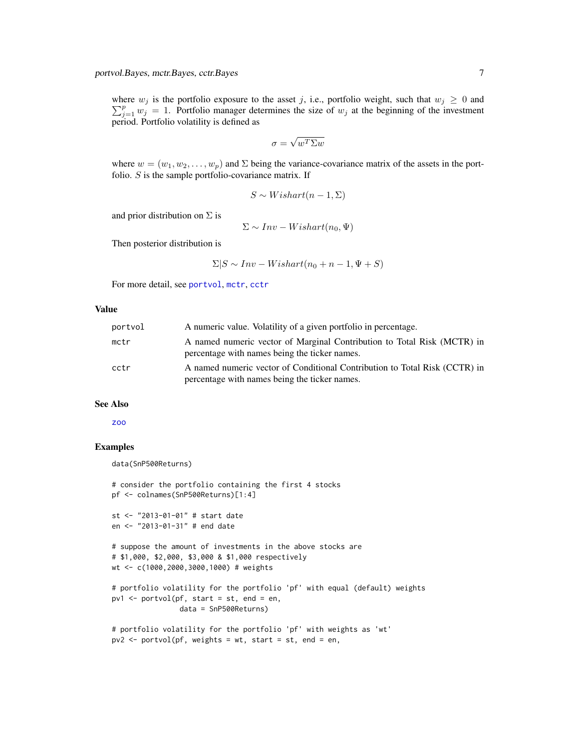<span id="page-6-0"></span>where  $w_j$  is the portfolio exposure to the asset j, i.e., portfolio weight, such that  $w_j \geq 0$  and  $\sum_{j=1}^{p} w_j = 1$ . Portfolio manager determines the size of  $w_j$  at the beginning of the investment period. Portfolio volatility is defined as

$$
\sigma = \sqrt{w^T \Sigma w}
$$

where  $w = (w_1, w_2, \dots, w_p)$  and  $\Sigma$  being the variance-covariance matrix of the assets in the portfolio.  $S$  is the sample portfolio-covariance matrix. If

$$
S \sim Wishart(n-1, \Sigma)
$$

and prior distribution on  $\Sigma$  is

$$
\Sigma \sim Inv-Wishart(n_0, \Psi)
$$

Then posterior distribution is

$$
\Sigma|S \sim Inv-Wishart(n_0 + n - 1, \Psi + S)
$$

For more detail, see [portvol](#page-2-1), [mctr](#page-2-1), [cctr](#page-2-1)

#### Value

| portvol | A numeric value. Volatility of a given portfolio in percentage.                                                             |
|---------|-----------------------------------------------------------------------------------------------------------------------------|
| mctr    | A named numeric vector of Marginal Contribution to Total Risk (MCTR) in<br>percentage with names being the ticker names.    |
| cctr    | A named numeric vector of Conditional Contribution to Total Risk (CCTR) in<br>percentage with names being the ticker names. |

## See Also

[zoo](#page-0-0)

#### Examples

```
data(SnP500Returns)
```

```
# consider the portfolio containing the first 4 stocks
pf <- colnames(SnP500Returns)[1:4]
st <- "2013-01-01" # start date
en <- "2013-01-31" # end date
# suppose the amount of investments in the above stocks are
# $1,000, $2,000, $3,000 & $1,000 respectively
wt <- c(1000,2000,3000,1000) # weights
# portfolio volatility for the portfolio 'pf' with equal (default) weights
pv1 <- portvol(pf, start = st, end = en,data = SnP500Returns)
# portfolio volatility for the portfolio 'pf' with weights as 'wt'
pv2 \leq portvol(pf, weights = wt, start = st, end = en,
```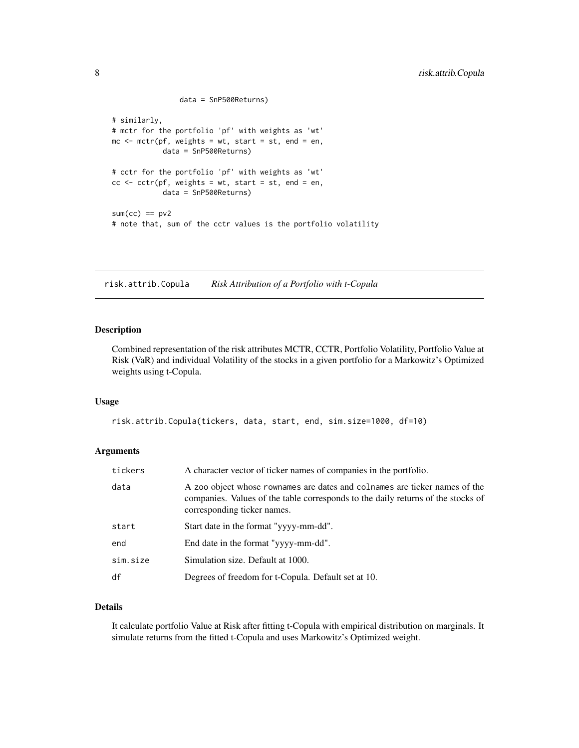```
data = SnP500Returns)
# similarly,
# mctr for the portfolio 'pf' with weights as 'wt'
mc \leq mctr(pf, weights = wt, start = st, end = en,
            data = SnP500Returns)
# cctr for the portfolio 'pf' with weights as 'wt'
cc < -cctr(pf, weights = wt, start = st, end = en,data = SnP500Returns)
sum(cc) == pv2# note that, sum of the cctr values is the portfolio volatility
```
risk.attrib.Copula *Risk Attribution of a Portfolio with t-Copula*

## Description

Combined representation of the risk attributes MCTR, CCTR, Portfolio Volatility, Portfolio Value at Risk (VaR) and individual Volatility of the stocks in a given portfolio for a Markowitz's Optimized weights using t-Copula.

#### Usage

```
risk.attrib.Copula(tickers, data, start, end, sim.size=1000, df=10)
```
#### Arguments

| tickers  | A character vector of ticker names of companies in the portfolio.                                                                                                                             |
|----------|-----------------------------------------------------------------------------------------------------------------------------------------------------------------------------------------------|
| data     | A zoo object whose rownames are dates and colnames are ticker names of the<br>companies. Values of the table corresponds to the daily returns of the stocks of<br>corresponding ticker names. |
| start    | Start date in the format "yyyy-mm-dd".                                                                                                                                                        |
| end      | End date in the format "yyyy-mm-dd".                                                                                                                                                          |
| sim.size | Simulation size. Default at 1000.                                                                                                                                                             |
| df       | Degrees of freedom for t-Copula. Default set at 10.                                                                                                                                           |

## Details

It calculate portfolio Value at Risk after fitting t-Copula with empirical distribution on marginals. It simulate returns from the fitted t-Copula and uses Markowitz's Optimized weight.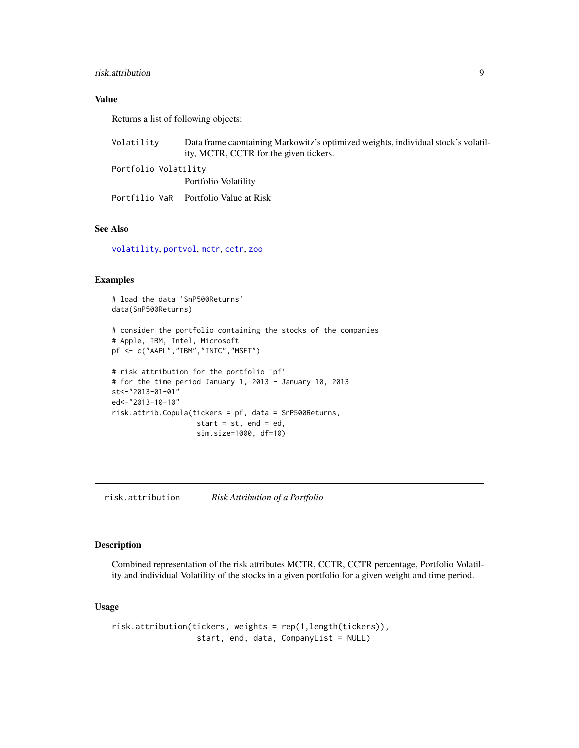#### <span id="page-8-0"></span>risk.attribution 9

## Value

Returns a list of following objects:

| Volatility           | Data frame caontaining Markowitz's optimized weights, individual stock's volatil-<br>ity, MCTR, CCTR for the given tickers. |
|----------------------|-----------------------------------------------------------------------------------------------------------------------------|
| Portfolio Volatilitv |                                                                                                                             |
|                      | Portfolio Volatility                                                                                                        |
|                      | Portfilio VaR - Portfolio Value at Risk-                                                                                    |

## See Also

[volatility](#page-12-1), [portvol](#page-2-1), [mctr](#page-2-1), [cctr](#page-2-1), [zoo](#page-0-0)

## Examples

```
# load the data 'SnP500Returns'
data(SnP500Returns)
# consider the portfolio containing the stocks of the companies
# Apple, IBM, Intel, Microsoft
pf <- c("AAPL","IBM","INTC","MSFT")
# risk attribution for the portfolio 'pf'
# for the time period January 1, 2013 - January 10, 2013
st<-"2013-01-01"
ed<-"2013-10-10"
risk.attrib.Copula(tickers = pf, data = SnP500Returns,
                    start = st, end = ed,
                    sim.size=1000, df=10)
```
risk.attribution *Risk Attribution of a Portfolio*

## Description

Combined representation of the risk attributes MCTR, CCTR, CCTR percentage, Portfolio Volatility and individual Volatility of the stocks in a given portfolio for a given weight and time period.

### Usage

risk.attribution(tickers, weights = rep(1,length(tickers)), start, end, data, CompanyList = NULL)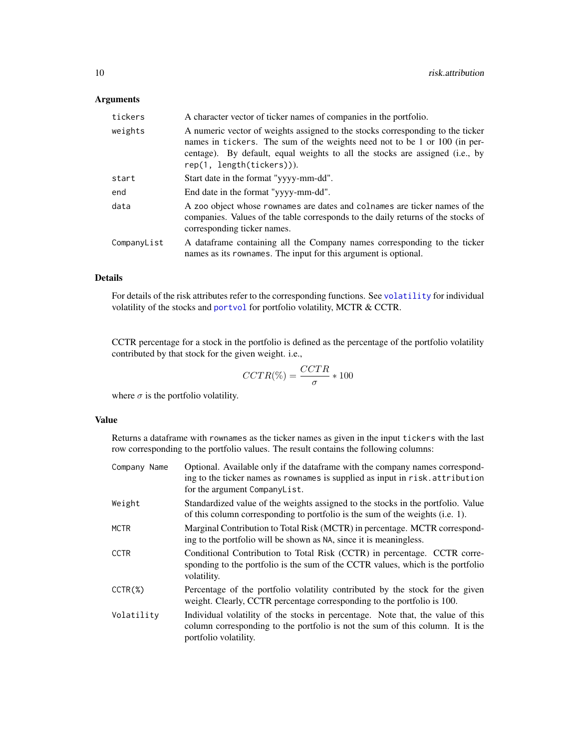## Arguments

| tickers     | A character vector of ticker names of companies in the portfolio.                                                                                                                                                                                                        |
|-------------|--------------------------------------------------------------------------------------------------------------------------------------------------------------------------------------------------------------------------------------------------------------------------|
| weights     | A numeric vector of weights assigned to the stocks corresponding to the ticker<br>names in tickers. The sum of the weights need not to be 1 or 100 (in per-<br>centage). By default, equal weights to all the stocks are assigned (i.e., by<br>rep(1, length(tickers))). |
| start       | Start date in the format "yyyy-mm-dd".                                                                                                                                                                                                                                   |
| end         | End date in the format "yyyy-mm-dd".                                                                                                                                                                                                                                     |
| data        | A zoo object whose rownames are dates and colnames are ticker names of the<br>companies. Values of the table corresponds to the daily returns of the stocks of<br>corresponding ticker names.                                                                            |
| CompanyList | A dataframe containing all the Company names corresponding to the ticker<br>names as its rownames. The input for this argument is optional.                                                                                                                              |

## Details

For details of the risk attributes refer to the corresponding functions. See [volatility](#page-12-1) for individual volatility of the stocks and [portvol](#page-2-1) for portfolio volatility, MCTR & CCTR.

CCTR percentage for a stock in the portfolio is defined as the percentage of the portfolio volatility contributed by that stock for the given weight. i.e.,

$$
CCTR(\%) = \frac{CCTR}{\sigma} * 100
$$

where  $\sigma$  is the portfolio volatility.

## Value

Returns a dataframe with rownames as the ticker names as given in the input tickers with the last row corresponding to the portfolio values. The result contains the following columns:

| Company Name | Optional. Available only if the data frame with the company names correspond-<br>ing to the ticker names as rownames is supplied as input in risk. attribution<br>for the argument CompanyList. |
|--------------|-------------------------------------------------------------------------------------------------------------------------------------------------------------------------------------------------|
| Weight       | Standardized value of the weights assigned to the stocks in the portfolio. Value<br>of this column corresponding to portfolio is the sum of the weights (i.e. 1).                               |
| <b>MCTR</b>  | Marginal Contribution to Total Risk (MCTR) in percentage. MCTR correspond-<br>ing to the portfolio will be shown as NA, since it is meaningless.                                                |
| <b>CCTR</b>  | Conditional Contribution to Total Risk (CCTR) in percentage. CCTR corre-<br>sponding to the portfolio is the sum of the CCTR values, which is the portfolio<br>volatility.                      |
| $CCTR(\%)$   | Percentage of the portfolio volatility contributed by the stock for the given<br>weight. Clearly, CCTR percentage corresponding to the portfolio is 100.                                        |
| Volatility   | Individual volatility of the stocks in percentage. Note that, the value of this<br>column corresponding to the portfolio is not the sum of this column. It is the<br>portfolio volatility.      |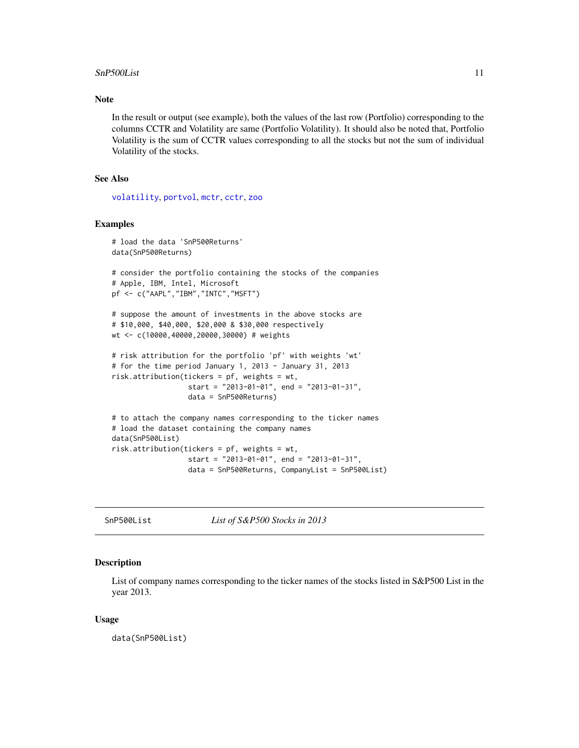#### <span id="page-10-0"></span>SnP500List 11

#### Note

In the result or output (see example), both the values of the last row (Portfolio) corresponding to the columns CCTR and Volatility are same (Portfolio Volatility). It should also be noted that, Portfolio Volatility is the sum of CCTR values corresponding to all the stocks but not the sum of individual Volatility of the stocks.

## See Also

[volatility](#page-12-1), [portvol](#page-2-1), [mctr](#page-2-1), [cctr](#page-2-1), [zoo](#page-0-0)

#### Examples

```
# load the data 'SnP500Returns'
data(SnP500Returns)
# consider the portfolio containing the stocks of the companies
# Apple, IBM, Intel, Microsoft
pf <- c("AAPL","IBM","INTC","MSFT")
# suppose the amount of investments in the above stocks are
# $10,000, $40,000, $20,000 & $30,000 respectively
wt <- c(10000,40000,20000,30000) # weights
# risk attribution for the portfolio 'pf' with weights 'wt'
# for the time period January 1, 2013 - January 31, 2013
risk.attribution(tickers = pf, weights = wt,
                  start = "2013-01-01", end = "2013-01-31",
                  data = SnP500Returns)
# to attach the company names corresponding to the ticker names
# load the dataset containing the company names
data(SnP500List)
risk.attribution(tickers = pf, weights = wt,
                  start = "2013-01-01", end = "2013-01-31",
                  data = SnP500Returns, CompanyList = SnP500List)
```
SnP500List *List of S&P500 Stocks in 2013*

#### Description

List of company names corresponding to the ticker names of the stocks listed in S&P500 List in the year 2013.

#### Usage

data(SnP500List)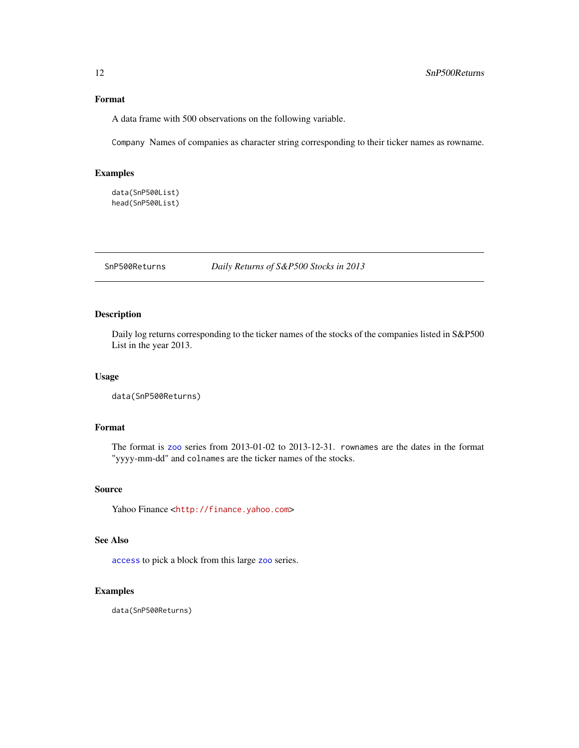#### <span id="page-11-0"></span>Format

A data frame with 500 observations on the following variable.

Company Names of companies as character string corresponding to their ticker names as rowname.

#### Examples

```
data(SnP500List)
head(SnP500List)
```
SnP500Returns *Daily Returns of S&P500 Stocks in 2013*

#### Description

Daily log returns corresponding to the ticker names of the stocks of the companies listed in S&P500 List in the year 2013.

#### Usage

data(SnP500Returns)

## Format

The format is [zoo](#page-0-0) series from 2013-01-02 to 2013-12-31. rownames are the dates in the format "yyyy-mm-dd" and colnames are the ticker names of the stocks.

### Source

Yahoo Finance <<http://finance.yahoo.com>>

## See Also

[access](#page-1-1) to pick a block from this large [zoo](#page-0-0) series.

#### Examples

data(SnP500Returns)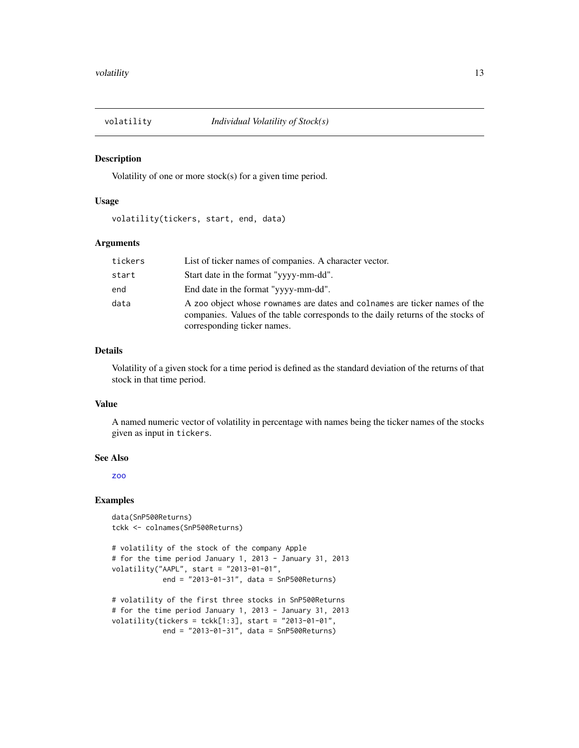<span id="page-12-1"></span><span id="page-12-0"></span>

#### Description

Volatility of one or more stock(s) for a given time period.

#### Usage

volatility(tickers, start, end, data)

#### Arguments

| tickers | List of ticker names of companies. A character vector.                                                                                                                                        |
|---------|-----------------------------------------------------------------------------------------------------------------------------------------------------------------------------------------------|
| start   | Start date in the format "yyyy-mm-dd".                                                                                                                                                        |
| end     | End date in the format "yyyy-mm-dd".                                                                                                                                                          |
| data    | A zoo object whose rownames are dates and colnames are ticker names of the<br>companies. Values of the table corresponds to the daily returns of the stocks of<br>corresponding ticker names. |

#### Details

Volatility of a given stock for a time period is defined as the standard deviation of the returns of that stock in that time period.

#### Value

A named numeric vector of volatility in percentage with names being the ticker names of the stocks given as input in tickers.

#### See Also

[zoo](#page-0-0)

#### Examples

```
data(SnP500Returns)
tckk <- colnames(SnP500Returns)
```

```
# volatility of the stock of the company Apple
# for the time period January 1, 2013 - January 31, 2013
volatility("AAPL", start = "2013-01-01",
            end = "2013-01-31", data = SnP500Returns)
```

```
# volatility of the first three stocks in SnP500Returns
# for the time period January 1, 2013 - January 31, 2013
volatility(tickers = tckk[1:3], start = "2013-01-01",
           end = "2013-01-31", data = SnP500Returns)
```